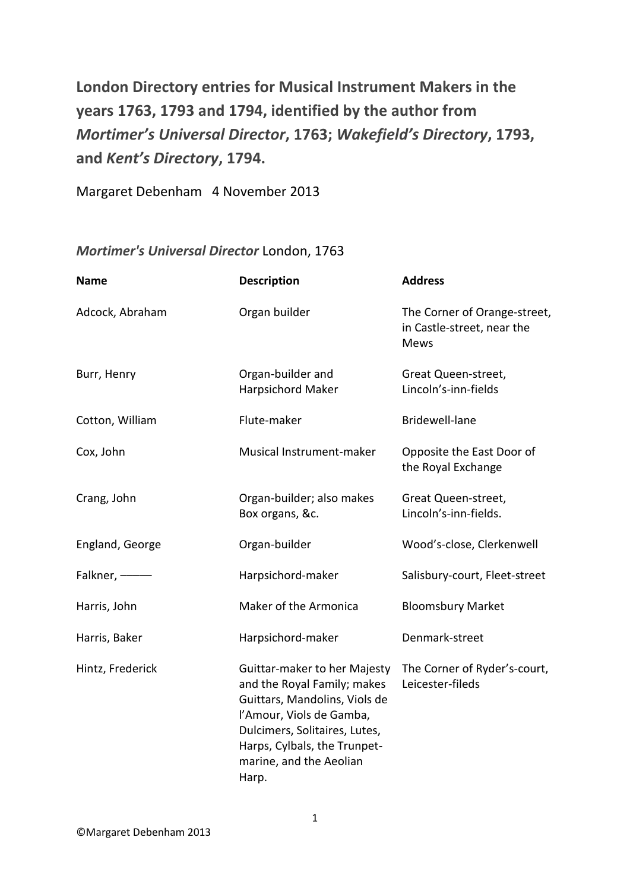**London Directory entries for Musical Instrument Makers in the years 1763, 1793 and 1794, identified by the author from**  *Mortimer's Universal Director***, 1763;** *Wakefield's Directory***, 1793, and** *Kent's Directory***, 1794.**

Margaret Debenham 4 November 2013

## *Mortimer's Universal Director* London, 1763

| <b>Name</b>      | <b>Description</b>                                                                                                                                                                                                            | <b>Address</b>                                                            |
|------------------|-------------------------------------------------------------------------------------------------------------------------------------------------------------------------------------------------------------------------------|---------------------------------------------------------------------------|
| Adcock, Abraham  | Organ builder                                                                                                                                                                                                                 | The Corner of Orange-street,<br>in Castle-street, near the<br><b>Mews</b> |
| Burr, Henry      | Organ-builder and<br>Harpsichord Maker                                                                                                                                                                                        | Great Queen-street,<br>Lincoln's-inn-fields                               |
| Cotton, William  | Flute-maker                                                                                                                                                                                                                   | Bridewell-lane                                                            |
| Cox, John        | Musical Instrument-maker                                                                                                                                                                                                      | Opposite the East Door of<br>the Royal Exchange                           |
| Crang, John      | Organ-builder; also makes<br>Box organs, &c.                                                                                                                                                                                  | Great Queen-street,<br>Lincoln's-inn-fields.                              |
| England, George  | Organ-builder                                                                                                                                                                                                                 | Wood's-close, Clerkenwell                                                 |
| Falkner, --      | Harpsichord-maker                                                                                                                                                                                                             | Salisbury-court, Fleet-street                                             |
| Harris, John     | Maker of the Armonica                                                                                                                                                                                                         | <b>Bloomsbury Market</b>                                                  |
| Harris, Baker    | Harpsichord-maker                                                                                                                                                                                                             | Denmark-street                                                            |
| Hintz, Frederick | Guittar-maker to her Majesty<br>and the Royal Family; makes<br>Guittars, Mandolins, Viols de<br>l'Amour, Viols de Gamba,<br>Dulcimers, Solitaires, Lutes,<br>Harps, Cylbals, the Trunpet-<br>marine, and the Aeolian<br>Harp. | The Corner of Ryder's-court,<br>Leicester-fileds                          |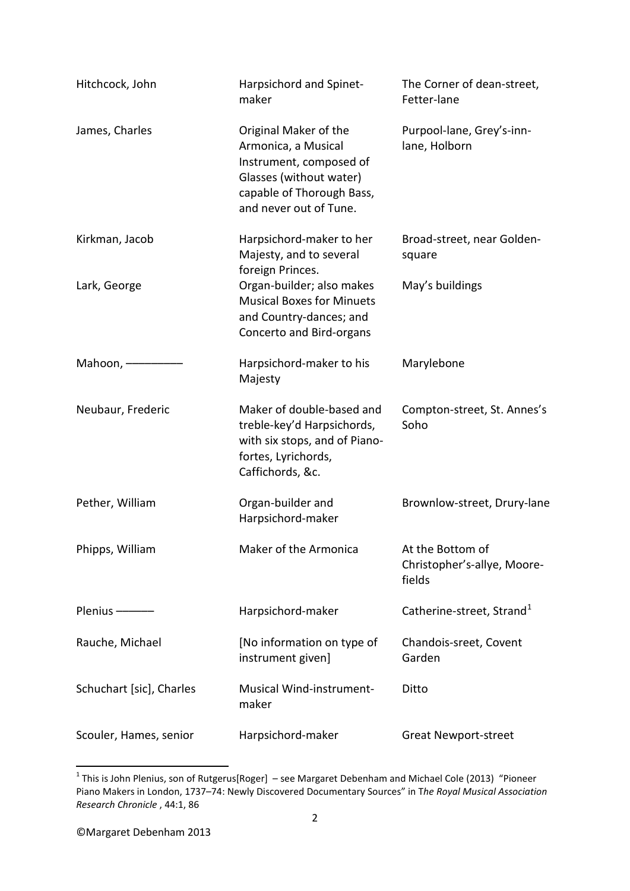| Hitchcock, John          | Harpsichord and Spinet-<br>maker                                                                                                                          | The Corner of dean-street,<br>Fetter-lane                 |
|--------------------------|-----------------------------------------------------------------------------------------------------------------------------------------------------------|-----------------------------------------------------------|
| James, Charles           | Original Maker of the<br>Armonica, a Musical<br>Instrument, composed of<br>Glasses (without water)<br>capable of Thorough Bass,<br>and never out of Tune. | Purpool-lane, Grey's-inn-<br>lane, Holborn                |
| Kirkman, Jacob           | Harpsichord-maker to her<br>Majesty, and to several<br>foreign Princes.                                                                                   | Broad-street, near Golden-<br>square                      |
| Lark, George             | Organ-builder; also makes<br><b>Musical Boxes for Minuets</b><br>and Country-dances; and<br>Concerto and Bird-organs                                      | May's buildings                                           |
| Mahoon, -                | Harpsichord-maker to his<br>Majesty                                                                                                                       | Marylebone                                                |
| Neubaur, Frederic        | Maker of double-based and<br>treble-key'd Harpsichords,<br>with six stops, and of Piano-<br>fortes, Lyrichords,<br>Caffichords, &c.                       | Compton-street, St. Annes's<br>Soho                       |
| Pether, William          | Organ-builder and<br>Harpsichord-maker                                                                                                                    | Brownlow-street, Drury-lane                               |
| Phipps, William          | Maker of the Armonica                                                                                                                                     | At the Bottom of<br>Christopher's-allye, Moore-<br>fields |
| Plenius - -              | Harpsichord-maker                                                                                                                                         | Catherine-street, Strand <sup>1</sup>                     |
| Rauche, Michael          | [No information on type of<br>instrument given]                                                                                                           | Chandois-sreet, Covent<br>Garden                          |
| Schuchart [sic], Charles | <b>Musical Wind-instrument-</b><br>maker                                                                                                                  | Ditto                                                     |
| Scouler, Hames, senior   | Harpsichord-maker                                                                                                                                         | <b>Great Newport-street</b>                               |

<span id="page-1-0"></span> <sup>1</sup> This is John Plenius, son of Rutgerus[Roger] – see Margaret Debenham and Michael Cole (2013) "Pioneer Piano Makers in London, 1737–74: Newly Discovered Documentary Sources" in T*he Royal Musical Association Research Chronicle* , 44:1, 86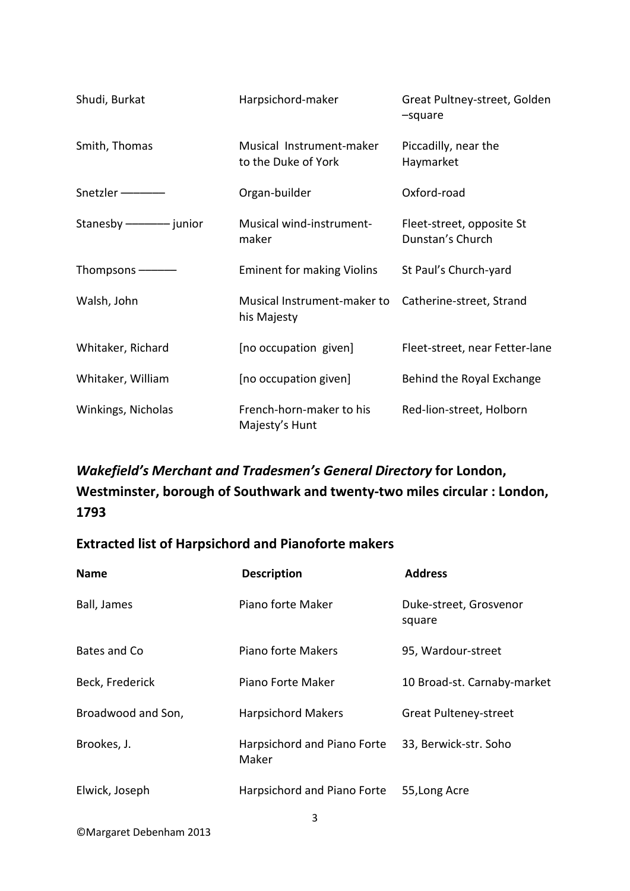| Shudi, Burkat                 | Harpsichord-maker                               | Great Pultney-street, Golden<br>-square       |
|-------------------------------|-------------------------------------------------|-----------------------------------------------|
| Smith, Thomas                 | Musical Instrument-maker<br>to the Duke of York | Piccadilly, near the<br>Haymarket             |
| Snetzler --------             | Organ-builder                                   | Oxford-road                                   |
| Stanesby ------------- junior | Musical wind-instrument-<br>maker               | Fleet-street, opposite St<br>Dunstan's Church |
| Thompsons -                   | <b>Eminent for making Violins</b>               | St Paul's Church-yard                         |
| Walsh, John                   | Musical Instrument-maker to<br>his Majesty      | Catherine-street, Strand                      |
| Whitaker, Richard             | [no occupation given]                           | Fleet-street, near Fetter-lane                |
| Whitaker, William             | [no occupation given]                           | Behind the Royal Exchange                     |
| Winkings, Nicholas            | French-horn-maker to his<br>Majesty's Hunt      | Red-lion-street, Holborn                      |

## *Wakefield's Merchant and Tradesmen's General Directory* **for London, Westminster, borough of Southwark and twenty-two miles circular : London, 1793**

## **Extracted list of Harpsichord and Pianoforte makers**

| <b>Name</b>        | <b>Description</b>                   | <b>Address</b>                   |
|--------------------|--------------------------------------|----------------------------------|
| Ball, James        | Piano forte Maker                    | Duke-street, Grosvenor<br>square |
| Bates and Co       | Piano forte Makers                   | 95, Wardour-street               |
| Beck, Frederick    | Piano Forte Maker                    | 10 Broad-st. Carnaby-market      |
| Broadwood and Son, | <b>Harpsichord Makers</b>            | <b>Great Pulteney-street</b>     |
| Brookes, J.        | Harpsichord and Piano Forte<br>Maker | 33, Berwick-str. Soho            |
| Elwick, Joseph     | Harpsichord and Piano Forte          | 55, Long Acre                    |

©Margaret Debenham 2013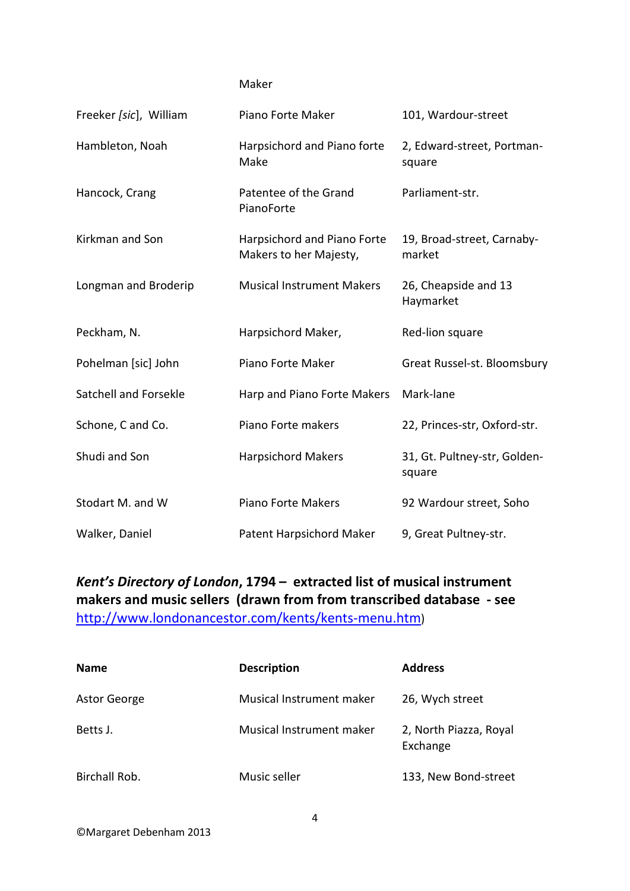## Maker

| Freeker [sic], William | Piano Forte Maker                                     | 101, Wardour-street                    |
|------------------------|-------------------------------------------------------|----------------------------------------|
| Hambleton, Noah        | Harpsichord and Piano forte<br>Make                   | 2, Edward-street, Portman-<br>square   |
| Hancock, Crang         | Patentee of the Grand<br>PianoForte                   | Parliament-str.                        |
| Kirkman and Son        | Harpsichord and Piano Forte<br>Makers to her Majesty, | 19, Broad-street, Carnaby-<br>market   |
| Longman and Broderip   | <b>Musical Instrument Makers</b>                      | 26, Cheapside and 13<br>Haymarket      |
| Peckham, N.            | Harpsichord Maker,                                    | Red-lion square                        |
| Pohelman [sic] John    | Piano Forte Maker                                     | Great Russel-st. Bloomsbury            |
| Satchell and Forsekle  | Harp and Piano Forte Makers                           | Mark-lane                              |
| Schone, C and Co.      | Piano Forte makers                                    | 22, Princes-str, Oxford-str.           |
| Shudi and Son          | <b>Harpsichord Makers</b>                             | 31, Gt. Pultney-str, Golden-<br>square |
| Stodart M. and W       | <b>Piano Forte Makers</b>                             | 92 Wardour street, Soho                |
| Walker, Daniel         | Patent Harpsichord Maker                              | 9, Great Pultney-str.                  |

*Kent's Directory of London***, 1794 – extracted list of musical instrument makers and music sellers (drawn from from transcribed database - see**  [http://www.londonancestor.com/kents/kents-menu.htm\)](http://www.londonancestor.com/kents/kents-menu.htm)

| <b>Name</b>   | <b>Description</b>       | <b>Address</b>                     |
|---------------|--------------------------|------------------------------------|
| Astor George  | Musical Instrument maker | 26, Wych street                    |
| Betts J.      | Musical Instrument maker | 2, North Piazza, Royal<br>Exchange |
| Birchall Rob. | Music seller             | 133, New Bond-street               |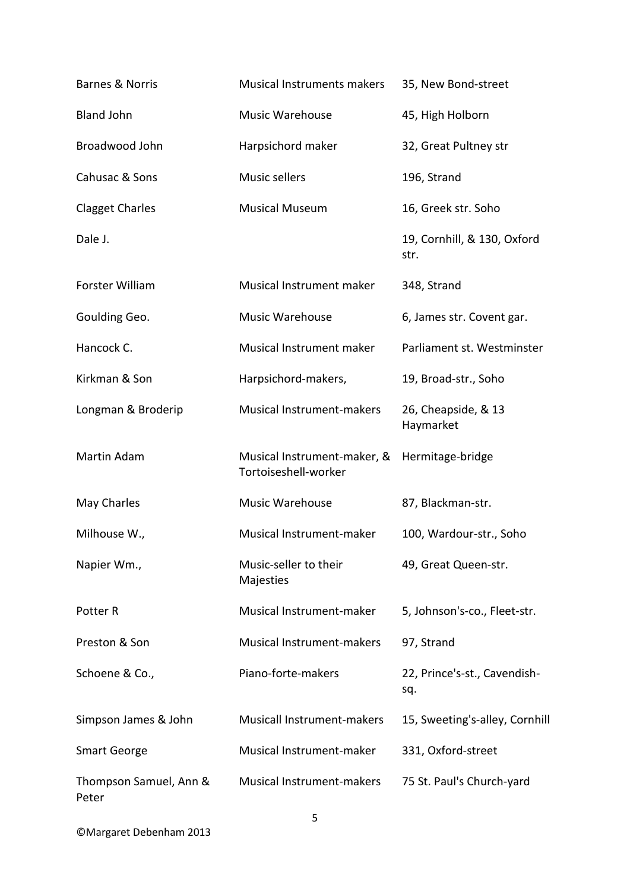| <b>Barnes &amp; Norris</b>      | Musical Instruments makers                          | 35, New Bond-street                 |
|---------------------------------|-----------------------------------------------------|-------------------------------------|
| <b>Bland John</b>               | Music Warehouse                                     | 45, High Holborn                    |
| Broadwood John                  | Harpsichord maker                                   | 32, Great Pultney str               |
| Cahusac & Sons                  | Music sellers                                       | 196, Strand                         |
| <b>Clagget Charles</b>          | <b>Musical Museum</b>                               | 16, Greek str. Soho                 |
| Dale J.                         |                                                     | 19, Cornhill, & 130, Oxford<br>str. |
| Forster William                 | Musical Instrument maker                            | 348, Strand                         |
| Goulding Geo.                   | Music Warehouse                                     | 6, James str. Covent gar.           |
| Hancock C.                      | Musical Instrument maker                            | Parliament st. Westminster          |
| Kirkman & Son                   | Harpsichord-makers,                                 | 19, Broad-str., Soho                |
| Longman & Broderip              | Musical Instrument-makers                           | 26, Cheapside, & 13<br>Haymarket    |
| Martin Adam                     | Musical Instrument-maker, &<br>Tortoiseshell-worker | Hermitage-bridge                    |
| May Charles                     | Music Warehouse                                     | 87, Blackman-str.                   |
| Milhouse W.,                    | Musical Instrument-maker                            | 100, Wardour-str., Soho             |
| Napier Wm.,                     | Music-seller to their<br>Majesties                  | 49, Great Queen-str.                |
| Potter R                        | Musical Instrument-maker                            | 5, Johnson's-co., Fleet-str.        |
| Preston & Son                   | Musical Instrument-makers                           | 97, Strand                          |
| Schoene & Co.,                  | Piano-forte-makers                                  | 22, Prince's-st., Cavendish-<br>sq. |
| Simpson James & John            | Musicall Instrument-makers                          | 15, Sweeting's-alley, Cornhill      |
| <b>Smart George</b>             | Musical Instrument-maker                            | 331, Oxford-street                  |
| Thompson Samuel, Ann &<br>Peter | Musical Instrument-makers                           | 75 St. Paul's Church-yard           |

©Margaret Debenham 2013